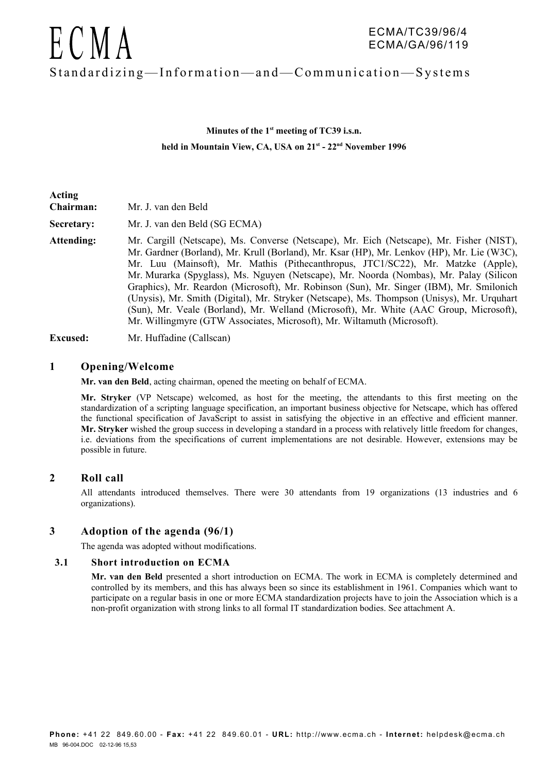

# **Minutes of the 1st meeting of TC39 i.s.n. held in Mountain View, CA, USA on 21st - 22nd November 1996**

| Acting<br>Chairman: | Mr. J. van den Beld                                                                                                                                                                                                                                                                                                                                                                                                                                                                                                                                                                                                                                                                                                                |
|---------------------|------------------------------------------------------------------------------------------------------------------------------------------------------------------------------------------------------------------------------------------------------------------------------------------------------------------------------------------------------------------------------------------------------------------------------------------------------------------------------------------------------------------------------------------------------------------------------------------------------------------------------------------------------------------------------------------------------------------------------------|
| Secretary:          | Mr. J. van den Beld (SG ECMA)                                                                                                                                                                                                                                                                                                                                                                                                                                                                                                                                                                                                                                                                                                      |
| Attending:          | Mr. Cargill (Netscape), Ms. Converse (Netscape), Mr. Eich (Netscape), Mr. Fisher (NIST),<br>Mr. Gardner (Borland), Mr. Krull (Borland), Mr. Ksar (HP), Mr. Lenkov (HP), Mr. Lie (W3C),<br>Mr. Luu (Mainsoft), Mr. Mathis (Pithecanthropus, JTC1/SC22), Mr. Matzke (Apple),<br>Mr. Murarka (Spyglass), Ms. Nguyen (Netscape), Mr. Noorda (Nombas), Mr. Palay (Silicon<br>Graphics), Mr. Reardon (Microsoft), Mr. Robinson (Sun), Mr. Singer (IBM), Mr. Smilonich<br>(Unysis), Mr. Smith (Digital), Mr. Stryker (Netscape), Ms. Thompson (Unisys), Mr. Urquhart<br>(Sun), Mr. Veale (Borland), Mr. Welland (Microsoft), Mr. White (AAC Group, Microsoft),<br>Mr. Willingmyre (GTW Associates, Microsoft), Mr. Wiltamuth (Microsoft). |

**Excused:** Mr. Huffadine (Callscan)

#### **1 Opening/Welcome**

**Mr. van den Beld**, acting chairman, opened the meeting on behalf of ECMA.

**Mr. Stryker** (VP Netscape) welcomed, as host for the meeting, the attendants to this first meeting on the standardization of a scripting language specification, an important business objective for Netscape, which has offered the functional specification of JavaScript to assist in satisfying the objective in an effective and efficient manner. **Mr. Stryker** wished the group success in developing a standard in a process with relatively little freedom for changes, i.e. deviations from the specifications of current implementations are not desirable. However, extensions may be possible in future.

#### **2 Roll call**

All attendants introduced themselves. There were 30 attendants from 19 organizations (13 industries and 6 organizations).

#### **3 Adoption of the agenda (96/1)**

The agenda was adopted without modifications.

#### **3.1 Short introduction on ECMA**

**Mr. van den Beld** presented a short introduction on ECMA. The work in ECMA is completely determined and controlled by its members, and this has always been so since its establishment in 1961. Companies which want to participate on a regular basis in one or more ECMA standardization projects have to join the Association which is a non-profit organization with strong links to all formal IT standardization bodies. See attachment A.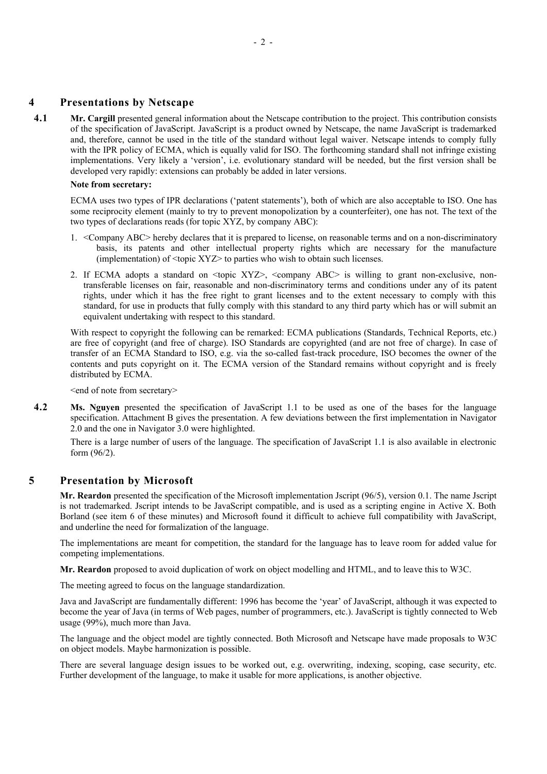# **4 Presentations by Netscape**

**4.1 Mr. Cargill** presented general information about the Netscape contribution to the project. This contribution consists of the specification of JavaScript. JavaScript is a product owned by Netscape, the name JavaScript is trademarked and, therefore, cannot be used in the title of the standard without legal waiver. Netscape intends to comply fully with the IPR policy of ECMA, which is equally valid for ISO. The forthcoming standard shall not infringe existing implementations. Very likely a 'version', i.e. evolutionary standard will be needed, but the first version shall be developed very rapidly: extensions can probably be added in later versions.

#### **Note from secretary:**

ECMA uses two types of IPR declarations ('patent statements'), both of which are also acceptable to ISO. One has some reciprocity element (mainly to try to prevent monopolization by a counterfeiter), one has not. The text of the two types of declarations reads (for topic XYZ, by company ABC):

- 1. <Company ABC> hereby declares that it is prepared to license, on reasonable terms and on a non-discriminatory basis, its patents and other intellectual property rights which are necessary for the manufacture (implementation) of  $\langle$ topic XYZ $>$  to parties who wish to obtain such licenses.
- 2. If ECMA adopts a standard on <topic XYZ>, <company ABC> is willing to grant non-exclusive, nontransferable licenses on fair, reasonable and non-discriminatory terms and conditions under any of its patent rights, under which it has the free right to grant licenses and to the extent necessary to comply with this standard, for use in products that fully comply with this standard to any third party which has or will submit an equivalent undertaking with respect to this standard.

With respect to copyright the following can be remarked: ECMA publications (Standards, Technical Reports, etc.) are free of copyright (and free of charge). ISO Standards are copyrighted (and are not free of charge). In case of transfer of an ECMA Standard to ISO, e.g. via the so-called fast-track procedure, ISO becomes the owner of the contents and puts copyright on it. The ECMA version of the Standard remains without copyright and is freely distributed by ECMA.

<end of note from secretary>

**4.2 Ms. Nguyen** presented the specification of JavaScript 1.1 to be used as one of the bases for the language specification. Attachment B gives the presentation. A few deviations between the first implementation in Navigator 2.0 and the one in Navigator 3.0 were highlighted.

There is a large number of users of the language. The specification of JavaScript 1.1 is also available in electronic form (96/2).

#### **5 Presentation by Microsoft**

**Mr. Reardon** presented the specification of the Microsoft implementation Jscript (96/5), version 0.1. The name Jscript is not trademarked. Jscript intends to be JavaScript compatible, and is used as a scripting engine in Active X. Both Borland (see item 6 of these minutes) and Microsoft found it difficult to achieve full compatibility with JavaScript, and underline the need for formalization of the language.

The implementations are meant for competition, the standard for the language has to leave room for added value for competing implementations.

**Mr. Reardon** proposed to avoid duplication of work on object modelling and HTML, and to leave this to W3C.

The meeting agreed to focus on the language standardization.

Java and JavaScript are fundamentally different: 1996 has become the 'year' of JavaScript, although it was expected to become the year of Java (in terms of Web pages, number of programmers, etc.). JavaScript is tightly connected to Web usage (99%), much more than Java.

The language and the object model are tightly connected. Both Microsoft and Netscape have made proposals to W3C on object models. Maybe harmonization is possible.

There are several language design issues to be worked out, e.g. overwriting, indexing, scoping, case security, etc. Further development of the language, to make it usable for more applications, is another objective.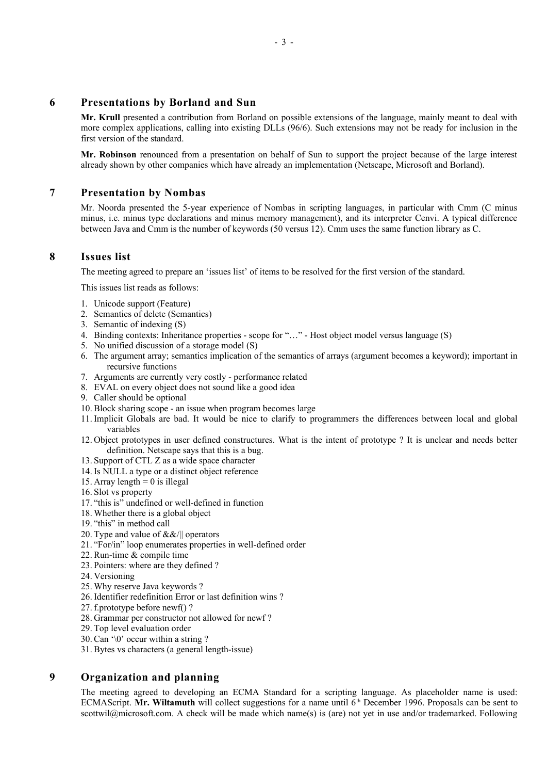#### **6 Presentations by Borland and Sun**

**Mr. Krull** presented a contribution from Borland on possible extensions of the language, mainly meant to deal with more complex applications, calling into existing DLLs (96/6). Such extensions may not be ready for inclusion in the first version of the standard.

**Mr. Robinson** renounced from a presentation on behalf of Sun to support the project because of the large interest already shown by other companies which have already an implementation (Netscape, Microsoft and Borland).

#### **7 Presentation by Nombas**

Mr. Noorda presented the 5-year experience of Nombas in scripting languages, in particular with Cmm (C minus minus, i.e. minus type declarations and minus memory management), and its interpreter Cenvi. A typical difference between Java and Cmm is the number of keywords (50 versus 12). Cmm uses the same function library as C.

# **8 Issues list**

The meeting agreed to prepare an 'issues list' of items to be resolved for the first version of the standard.

This issues list reads as follows:

- 1. Unicode support (Feature)
- 2. Semantics of delete (Semantics)
- 3. Semantic of indexing (S)
- 4. Binding contexts: Inheritance properties scope for "…" Host object model versus language (S)
- 5. No unified discussion of a storage model (S)
- 6. The argument array; semantics implication of the semantics of arrays (argument becomes a keyword); important in recursive functions
- 7. Arguments are currently very costly performance related
- 8. EVAL on every object does not sound like a good idea
- 9. Caller should be optional
- 10. Block sharing scope an issue when program becomes large
- 11. Implicit Globals are bad. It would be nice to clarify to programmers the differences between local and global variables
- 12. Object prototypes in user defined constructures. What is the intent of prototype ? It is unclear and needs better definition. Netscape says that this is a bug.
- 13.Support of CTL Z as a wide space character
- 14. Is NULL a type or a distinct object reference
- 15. Array length  $= 0$  is illegal
- 16.Slot vs property
- 17. "this is" undefined or well-defined in function
- 18. Whether there is a global object
- 19. "this" in method call
- 20. Type and value of &&/|| operators
- 21. "For/in" loop enumerates properties in well-defined order
- 22. Run-time & compile time
- 23.Pointers: where are they defined ?
- 24. Versioning
- 25. Why reserve Java keywords ?
- 26. Identifier redefinition Error or last definition wins ?
- 27. f.prototype before newf() ?
- 28. Grammar per constructor not allowed for newf ?
- 29. Top level evaluation order
- 30. Can '\0' occur within a string ?
- 31. Bytes vs characters (a general length-issue)

#### **9 Organization and planning**

The meeting agreed to developing an ECMA Standard for a scripting language. As placeholder name is used: ECMAScript. Mr. Wiltamuth will collect suggestions for a name until 6<sup>th</sup> December 1996. Proposals can be sent to scottwil@microsoft.com. A check will be made which name(s) is (are) not yet in use and/or trademarked. Following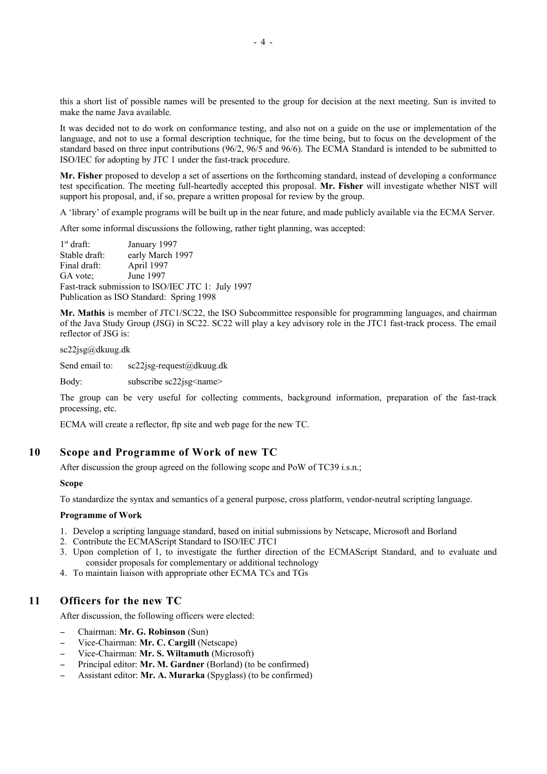this a short list of possible names will be presented to the group for decision at the next meeting. Sun is invited to make the name Java available.

It was decided not to do work on conformance testing, and also not on a guide on the use or implementation of the language, and not to use a formal description technique, for the time being, but to focus on the development of the standard based on three input contributions (96/2, 96/5 and 96/6). The ECMA Standard is intended to be submitted to ISO/IEC for adopting by JTC 1 under the fast-track procedure.

**Mr. Fisher** proposed to develop a set of assertions on the forthcoming standard, instead of developing a conformance test specification. The meeting full-heartedly accepted this proposal. **Mr. Fisher** will investigate whether NIST will support his proposal, and, if so, prepare a written proposal for review by the group.

A 'library' of example programs will be built up in the near future, and made publicly available via the ECMA Server.

After some informal discussions the following, rather tight planning, was accepted:

 $1<sup>st</sup>$  draft: January 1997 Stable draft: early March 1997 Final draft: April 1997 GA vote; June 1997 Fast-track submission to ISO/IEC JTC 1: July 1997 Publication as ISO Standard: Spring 1998

**Mr. Mathis** is member of JTC1/SC22, the ISO Subcommittee responsible for programming languages, and chairman of the Java Study Group (JSG) in SC22. SC22 will play a key advisory role in the JTC1 fast-track process. The email reflector of JSG is:

sc22jsg@dkuug.dk

Send email to: sc22jsg-request@dkuug.dk

Body: subscribe sc22jsg<name>

The group can be very useful for collecting comments, background information, preparation of the fast-track processing, etc.

ECMA will create a reflector, ftp site and web page for the new TC.

### **10 Scope and Programme of Work of new TC**

After discussion the group agreed on the following scope and PoW of TC39 i.s.n.;

**Scope**

To standardize the syntax and semantics of a general purpose, cross platform, vendor-neutral scripting language.

#### **Programme of Work**

- 1. Develop a scripting language standard, based on initial submissions by Netscape, Microsoft and Borland
- 2. Contribute the ECMAScript Standard to ISO/IEC JTC1
- 3. Upon completion of 1, to investigate the further direction of the ECMAScript Standard, and to evaluate and consider proposals for complementary or additional technology
- 4. To maintain liaison with appropriate other ECMA TCs and TGs

### **11 Officers for the new TC**

After discussion, the following officers were elected:

- Chairman: **Mr. G. Robinson** (Sun)
- Vice-Chairman: **Mr. C. Cargill** (Netscape)
- Vice-Chairman: **Mr. S. Wiltamuth** (Microsoft)
- Principal editor: **Mr. M. Gardner** (Borland) (to be confirmed)
- Assistant editor: **Mr. A. Murarka** (Spyglass) (to be confirmed)